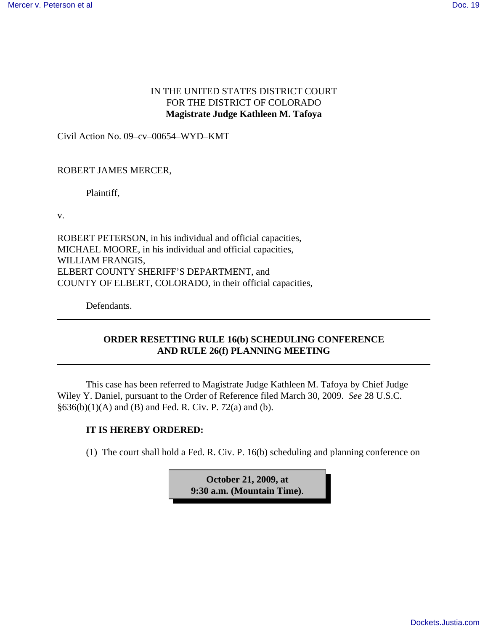## IN THE UNITED STATES DISTRICT COURT FOR THE DISTRICT OF COLORADO **Magistrate Judge Kathleen M. Tafoya**

Civil Action No. 09–cv–00654–WYD–KMT

## ROBERT JAMES MERCER,

Plaintiff,

v.

ROBERT PETERSON, in his individual and official capacities, MICHAEL MOORE, in his individual and official capacities, WILLIAM FRANGIS, ELBERT COUNTY SHERIFF'S DEPARTMENT, and COUNTY OF ELBERT, COLORADO, in their official capacities,

Defendants.

## **ORDER RESETTING RULE 16(b) SCHEDULING CONFERENCE AND RULE 26(f) PLANNING MEETING**

This case has been referred to Magistrate Judge Kathleen M. Tafoya by Chief Judge Wiley Y. Daniel, pursuant to the Order of Reference filed March 30, 2009. *See* 28 U.S.C. §636(b)(1)(A) and (B) and Fed. R. Civ. P. 72(a) and (b).

## **IT IS HEREBY ORDERED:**

(1) The court shall hold a Fed. R. Civ. P. 16(b) scheduling and planning conference on

**October 21, 2009, at 9:30 a.m. (Mountain Time)**.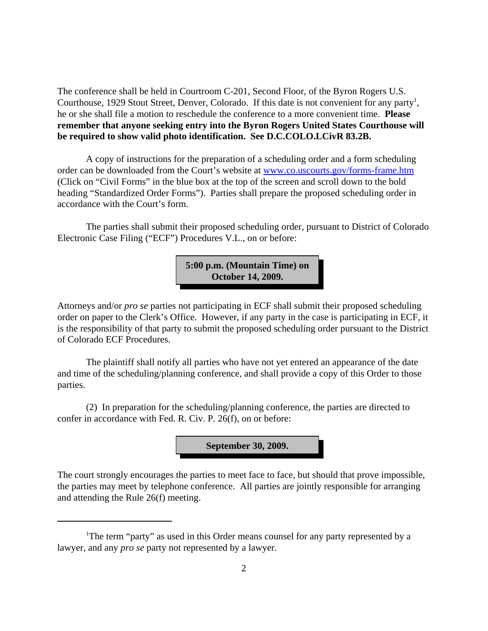The conference shall be held in Courtroom C-201, Second Floor, of the Byron Rogers U.S. Courthouse, 1929 Stout Street, Denver, Colorado. If this date is not convenient for any party<sup>1</sup>, he or she shall file a motion to reschedule the conference to a more convenient time. **Please remember that anyone seeking entry into the Byron Rogers United States Courthouse will be required to show valid photo identification. See D.C.COLO.LCivR 83.2B.**

A copy of instructions for the preparation of a scheduling order and a form scheduling order can be downloaded from the Court's website at www.co.uscourts.gov/forms-frame.htm (Click on "Civil Forms" in the blue box at the top of the screen and scroll down to the bold heading "Standardized Order Forms"). Parties shall prepare the proposed scheduling order in accordance with the Court's form.

The parties shall submit their proposed scheduling order, pursuant to District of Colorado Electronic Case Filing ("ECF") Procedures V.L., on or before:

> **5:00 p.m. (Mountain Time) on October 14, 2009.**

Attorneys and/or *pro se* parties not participating in ECF shall submit their proposed scheduling order on paper to the Clerk's Office. However, if any party in the case is participating in ECF, it is the responsibility of that party to submit the proposed scheduling order pursuant to the District of Colorado ECF Procedures.

The plaintiff shall notify all parties who have not yet entered an appearance of the date and time of the scheduling/planning conference, and shall provide a copy of this Order to those parties.

(2) In preparation for the scheduling/planning conference, the parties are directed to confer in accordance with Fed. R. Civ. P. 26(f), on or before:

**September 30, 2009.**

The court strongly encourages the parties to meet face to face, but should that prove impossible, the parties may meet by telephone conference. All parties are jointly responsible for arranging and attending the Rule 26(f) meeting.

<sup>&</sup>lt;sup>1</sup>The term "party" as used in this Order means counsel for any party represented by a lawyer, and any *pro se* party not represented by a lawyer.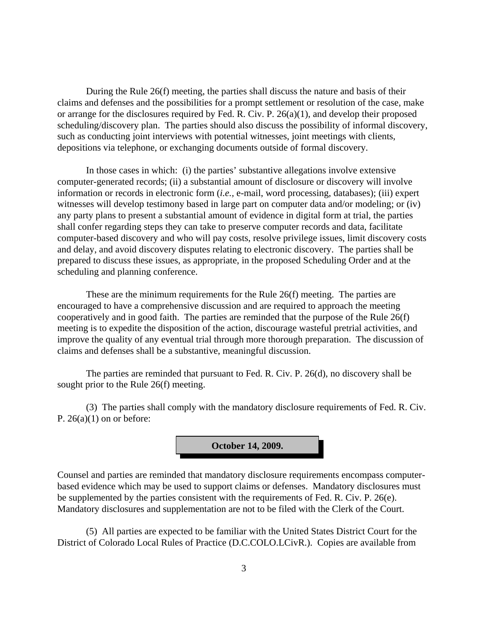During the Rule 26(f) meeting, the parties shall discuss the nature and basis of their claims and defenses and the possibilities for a prompt settlement or resolution of the case, make or arrange for the disclosures required by Fed. R. Civ. P. 26(a)(1), and develop their proposed scheduling/discovery plan. The parties should also discuss the possibility of informal discovery, such as conducting joint interviews with potential witnesses, joint meetings with clients, depositions via telephone, or exchanging documents outside of formal discovery.

In those cases in which: (i) the parties' substantive allegations involve extensive computer-generated records; (ii) a substantial amount of disclosure or discovery will involve information or records in electronic form (*i.e.,* e-mail, word processing, databases); (iii) expert witnesses will develop testimony based in large part on computer data and/or modeling; or (iv) any party plans to present a substantial amount of evidence in digital form at trial, the parties shall confer regarding steps they can take to preserve computer records and data, facilitate computer-based discovery and who will pay costs, resolve privilege issues, limit discovery costs and delay, and avoid discovery disputes relating to electronic discovery. The parties shall be prepared to discuss these issues, as appropriate, in the proposed Scheduling Order and at the scheduling and planning conference.

These are the minimum requirements for the Rule 26(f) meeting. The parties are encouraged to have a comprehensive discussion and are required to approach the meeting cooperatively and in good faith. The parties are reminded that the purpose of the Rule 26(f) meeting is to expedite the disposition of the action, discourage wasteful pretrial activities, and improve the quality of any eventual trial through more thorough preparation. The discussion of claims and defenses shall be a substantive, meaningful discussion.

The parties are reminded that pursuant to Fed. R. Civ. P. 26(d), no discovery shall be sought prior to the Rule 26(f) meeting.

(3) The parties shall comply with the mandatory disclosure requirements of Fed. R. Civ. P.  $26(a)(1)$  on or before:



Counsel and parties are reminded that mandatory disclosure requirements encompass computerbased evidence which may be used to support claims or defenses. Mandatory disclosures must be supplemented by the parties consistent with the requirements of Fed. R. Civ. P. 26(e). Mandatory disclosures and supplementation are not to be filed with the Clerk of the Court.

(5) All parties are expected to be familiar with the United States District Court for the District of Colorado Local Rules of Practice (D.C.COLO.LCivR.). Copies are available from